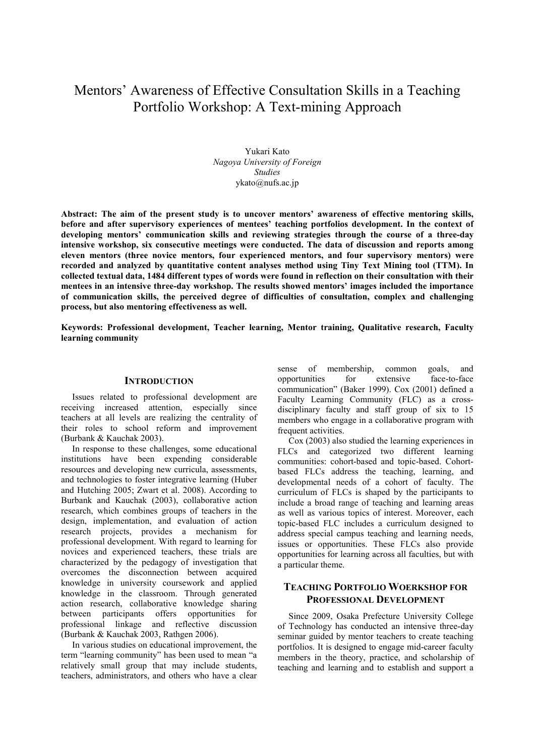# Mentors' Awareness of Effective Consultation Skills in a Teaching Portfolio Workshop: A Text-mining Approach

Yukari Kato *Nagoya University of Foreign Studies* ykato@nufs.ac.jp

**Abstract: The aim of the present study is to uncover mentors' awareness of effective mentoring skills, before and after supervisory experiences of mentees' teaching portfolios development. In the context of developing mentors' communication skills and reviewing strategies through the course of a three-day intensive workshop, six consecutive meetings were conducted. The data of discussion and reports among eleven mentors (three novice mentors, four experienced mentors, and four supervisory mentors) were recorded and analyzed by quantitative content analyses method using Tiny Text Mining tool (TTM). In collected textual data, 1484 different types of words were found in reflection on their consultation with their mentees in an intensive three-day workshop. The results showed mentors' images included the importance of communication skills, the perceived degree of difficulties of consultation, complex and challenging process, but also mentoring effectiveness as well.** 

**Keywords: Professional development, Teacher learning, Mentor training, Qualitative research, Faculty learning community** 

## **INTRODUCTION**

Issues related to professional development are receiving increased attention, especially since teachers at all levels are realizing the centrality of their roles to school reform and improvement (Burbank & Kauchak 2003).

In response to these challenges, some educational institutions have been expending considerable resources and developing new curricula, assessments, and technologies to foster integrative learning (Huber and Hutching 2005; Zwart et al. 2008). According to Burbank and Kauchak (2003), collaborative action research, which combines groups of teachers in the design, implementation, and evaluation of action research projects, provides a mechanism for professional development. With regard to learning for novices and experienced teachers, these trials are characterized by the pedagogy of investigation that overcomes the disconnection between acquired knowledge in university coursework and applied knowledge in the classroom. Through generated action research, collaborative knowledge sharing between participants offers opportunities for professional linkage and reflective discussion (Burbank & Kauchak 2003, Rathgen 2006).

In various studies on educational improvement, the term "learning community" has been used to mean "a relatively small group that may include students, teachers, administrators, and others who have a clear

sense of membership, common goals, and<br>opportunities for extensive face-to-face opportunities for extensive face-to-face communication" (Baker 1999). Cox (2001) defined a Faculty Learning Community (FLC) as a crossdisciplinary faculty and staff group of six to 15 members who engage in a collaborative program with frequent activities.

Cox (2003) also studied the learning experiences in FLCs and categorized two different learning communities: cohort-based and topic-based. Cohortbased FLCs address the teaching, learning, and developmental needs of a cohort of faculty. The curriculum of FLCs is shaped by the participants to include a broad range of teaching and learning areas as well as various topics of interest. Moreover, each topic-based FLC includes a curriculum designed to address special campus teaching and learning needs, issues or opportunities. These FLCs also provide opportunities for learning across all faculties, but with a particular theme.

# **TEACHING PORTFOLIO WOERKSHOP FOR PROFESSIONAL DEVELOPMENT**

Since 2009, Osaka Prefecture University College of Technology has conducted an intensive three-day seminar guided by mentor teachers to create teaching portfolios. It is designed to engage mid-career faculty members in the theory, practice, and scholarship of teaching and learning and to establish and support a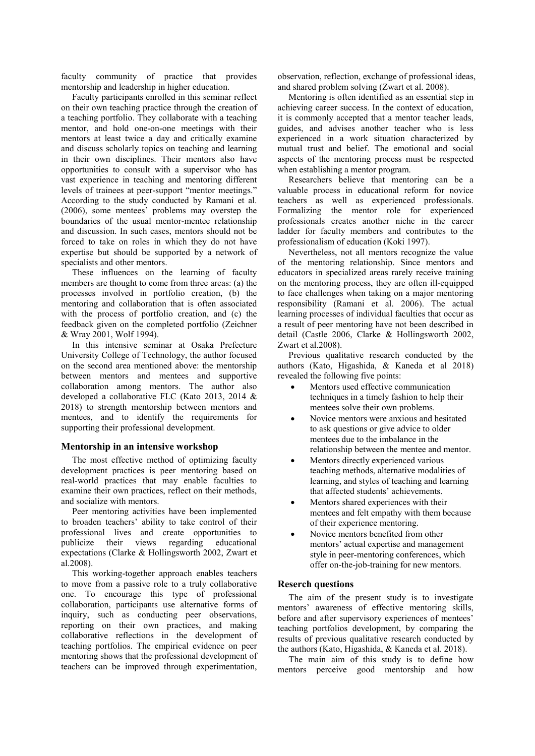faculty community of practice that provides mentorship and leadership in higher education.

Faculty participants enrolled in this seminar reflect on their own teaching practice through the creation of a teaching portfolio. They collaborate with a teaching mentor, and hold one-on-one meetings with their mentors at least twice a day and critically examine and discuss scholarly topics on teaching and learning in their own disciplines. Their mentors also have opportunities to consult with a supervisor who has vast experience in teaching and mentoring different levels of trainees at peer-support "mentor meetings." According to the study conducted by Ramani et al. (2006), some mentees' problems may overstep the boundaries of the usual mentor-mentee relationship and discussion. In such cases, mentors should not be forced to take on roles in which they do not have expertise but should be supported by a network of specialists and other mentors.

These influences on the learning of faculty members are thought to come from three areas: (a) the processes involved in portfolio creation, (b) the mentoring and collaboration that is often associated with the process of portfolio creation, and (c) the feedback given on the completed portfolio (Zeichner & Wray 2001, Wolf 1994).

In this intensive seminar at Osaka Prefecture University College of Technology, the author focused on the second area mentioned above: the mentorship between mentors and mentees and supportive collaboration among mentors. The author also developed a collaborative FLC (Kato 2013, 2014 & 2018) to strength mentorship between mentors and mentees, and to identify the requirements for supporting their professional development.

#### **Mentorship in an intensive workshop**

The most effective method of optimizing faculty development practices is peer mentoring based on real-world practices that may enable faculties to examine their own practices, reflect on their methods, and socialize with mentors.

Peer mentoring activities have been implemented to broaden teachers' ability to take control of their professional lives and create opportunities to publicize their views regarding educational expectations (Clarke & Hollingsworth 2002, Zwart et al.2008).

This working-together approach enables teachers to move from a passive role to a truly collaborative one. To encourage this type of professional collaboration, participants use alternative forms of inquiry, such as conducting peer observations, reporting on their own practices, and making collaborative reflections in the development of teaching portfolios. The empirical evidence on peer mentoring shows that the professional development of teachers can be improved through experimentation,

observation, reflection, exchange of professional ideas, and shared problem solving (Zwart et al. 2008).

Mentoring is often identified as an essential step in achieving career success. In the context of education, it is commonly accepted that a mentor teacher leads, guides, and advises another teacher who is less experienced in a work situation characterized by mutual trust and belief. The emotional and social aspects of the mentoring process must be respected when establishing a mentor program.

Researchers believe that mentoring can be a valuable process in educational reform for novice teachers as well as experienced professionals. Formalizing the mentor role for experienced professionals creates another niche in the career ladder for faculty members and contributes to the professionalism of education (Koki 1997).

Nevertheless, not all mentors recognize the value of the mentoring relationship. Since mentors and educators in specialized areas rarely receive training on the mentoring process, they are often ill-equipped to face challenges when taking on a major mentoring responsibility (Ramani et al. 2006). The actual learning processes of individual faculties that occur as a result of peer mentoring have not been described in detail (Castle 2006, Clarke & Hollingsworth 2002, Zwart et al.2008).

Previous qualitative research conducted by the authors (Kato, Higashida, & Kaneda et al 2018) revealed the following five points:

- Mentors used effective communication techniques in a timely fashion to help their mentees solve their own problems.
- Novice mentors were anxious and hesitated to ask questions or give advice to older mentees due to the imbalance in the relationship between the mentee and mentor.
- Mentors directly experienced various teaching methods, alternative modalities of learning, and styles of teaching and learning that affected students' achievements.
- Mentors shared experiences with their mentees and felt empathy with them because of their experience mentoring.
- Novice mentors benefited from other mentors' actual expertise and management style in peer-mentoring conferences, which offer on-the-job-training for new mentors.

#### **Reserch questions**

The aim of the present study is to investigate mentors' awareness of effective mentoring skills, before and after supervisory experiences of mentees' teaching portfolios development, by comparing the results of previous qualitative research conducted by the authors (Kato, Higashida, & Kaneda et al. 2018).

The main aim of this study is to define how mentors perceive good mentorship and how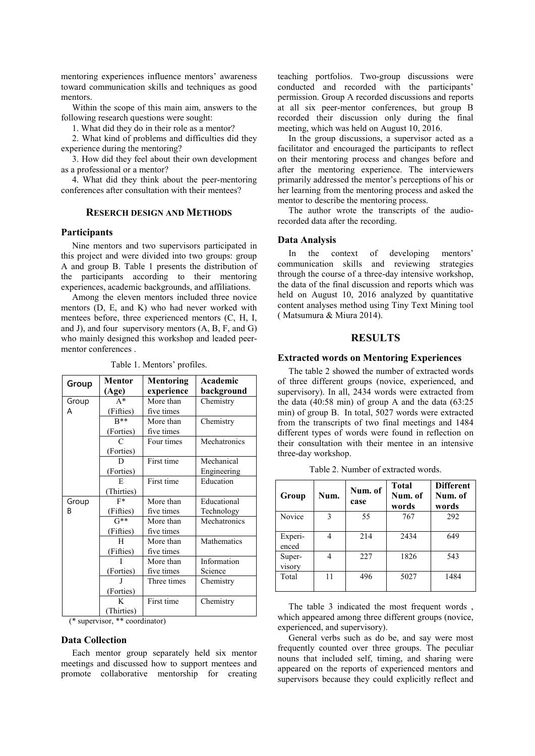mentoring experiences influence mentors' awareness toward communication skills and techniques as good mentors.

Within the scope of this main aim, answers to the following research questions were sought:

1. What did they do in their role as a mentor?

2. What kind of problems and difficulties did they experience during the mentoring?

3. How did they feel about their own development as a professional or a mentor?

4. What did they think about the peer-mentoring conferences after consultation with their mentees?

## **RESERCH DESIGN AND METHODS**

#### **Participants**

Nine mentors and two supervisors participated in this project and were divided into two groups: group A and group B. Table 1 presents the distribution of the participants according to their mentoring experiences, academic backgrounds, and affiliations.

Among the eleven mentors included three novice mentors (D, E, and K) who had never worked with mentees before, three experienced mentors (C, H, I, and J), and four supervisory mentors (A, B, F, and G) who mainly designed this workshop and leaded peermentor conferences .

| Group | Mentor<br>(Age) | Academic<br>Mentoring<br>experience<br>background |              |
|-------|-----------------|---------------------------------------------------|--------------|
| Group | $A^*$           | More than                                         | Chemistry    |
| A     | (Fifties)       | five times                                        |              |
|       | $R^{**}$        | More than                                         | Chemistry    |
|       | (Forties)       | five times                                        |              |
|       |                 | Four times                                        | Mechatronics |
|       | (Forties)       |                                                   |              |
|       |                 | First time                                        | Mechanical   |
|       | (Forties)       |                                                   | Engineering  |
|       | E               | First time                                        | Education    |
|       | Thirties)       |                                                   |              |
| Group | $F^*$           | More than                                         | Educational  |
| B     | (Fifties)       | five times                                        | Technology   |
|       | $G^{**}$        | More than                                         | Mechatronics |
|       | (Fifties)       | five times                                        |              |
|       | H               | More than                                         | Mathematics  |
|       | (Fifties)       | five times                                        |              |
|       | Ī               | More than                                         | Information  |
|       | (Forties)       | five times                                        | Science      |
|       | J               | Three times                                       | Chemistry    |
|       | (Forties)       |                                                   |              |
|       | K               | First time                                        | Chemistry    |
|       | Thirties)       |                                                   |              |

Table 1. Mentors' profiles.

(\* supervisor, \*\* coordinator)

#### **Data Collection**

Each mentor group separately held six mentor meetings and discussed how to support mentees and promote collaborative mentorship for creating teaching portfolios. Two-group discussions were conducted and recorded with the participants' permission. Group A recorded discussions and reports at all six peer-mentor conferences, but group B recorded their discussion only during the final meeting, which was held on August 10, 2016.

In the group discussions, a supervisor acted as a facilitator and encouraged the participants to reflect on their mentoring process and changes before and after the mentoring experience. The interviewers primarily addressed the mentor's perceptions of his or her learning from the mentoring process and asked the mentor to describe the mentoring process.

The author wrote the transcripts of the audiorecorded data after the recording.

#### **Data Analysis**

In the context of developing mentors' communication skills and reviewing strategies through the course of a three-day intensive workshop, the data of the final discussion and reports which was held on August 10, 2016 analyzed by quantitative content analyses method using Tiny Text Mining tool ( Matsumura & Miura 2014).

### **RESULTS**

#### **Extracted words on Mentoring Experiences**

The table 2 showed the number of extracted words of three different groups (novice, experienced, and supervisory). In all, 2434 words were extracted from the data  $(40:58 \text{ min})$  of group A and the data  $(63:25)$ min) of group B. In total, 5027 words were extracted from the transcripts of two final meetings and 1484 different types of words were found in reflection on their consultation with their mentee in an intensive three-day workshop.

| Group            | Num. | Num. of<br>case | <b>Total</b><br>Num. of<br>words | <b>Different</b><br>Num. of<br>words |
|------------------|------|-----------------|----------------------------------|--------------------------------------|
| Novice           | 3    | 55              | 767                              | 292                                  |
| Experi-<br>enced | 4    | 214             | 2434                             | 649                                  |
| Super-<br>visory | 4    | 227             | 1826                             | 543                                  |
| Total            | 11   | 496             | 5027                             | 1484                                 |

Table 2. Number of extracted words.

The table 3 indicated the most frequent words , which appeared among three different groups (novice, experienced, and supervisory).

General verbs such as do be, and say were most frequently counted over three groups. The peculiar nouns that included self, timing, and sharing were appeared on the reports of experienced mentors and supervisors because they could explicitly reflect and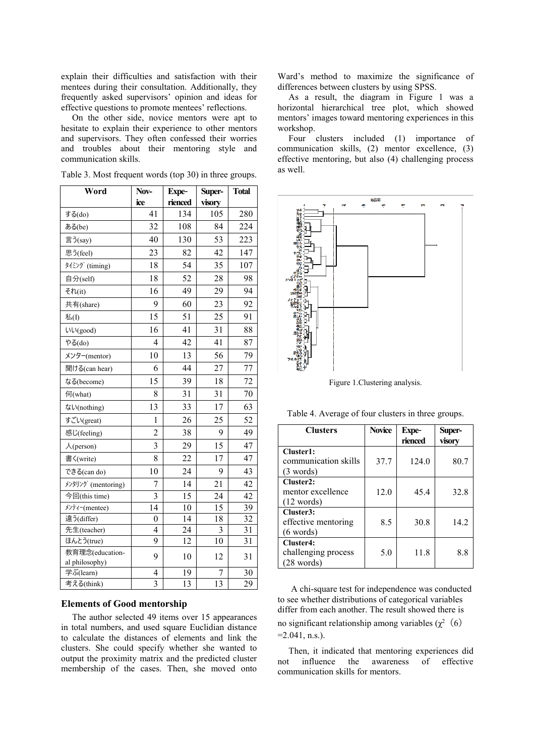explain their difficulties and satisfaction with their mentees during their consultation. Additionally, they frequently asked supervisors' opinion and ideas for effective questions to promote mentees' reflections.

On the other side, novice mentors were apt to hesitate to explain their experience to other mentors and supervisors. They often confessed their worries and troubles about their mentoring style and communication skills.

| Word                              | Nov-           | Expe-   | Super- | <b>Total</b> |
|-----------------------------------|----------------|---------|--------|--------------|
|                                   | ice            | rienced | visory |              |
| する(do)                            | 41             | 134     | 105    | 280          |
| ある(be)                            | 32             | 108     | 84     | 224          |
| 言う(say)                           | 40             | 130     | 53     | 223          |
| 思う(feel)                          | 23             | 82      | 42     | 147          |
| タイミング (timing)                    | 18             | 54      | 35     | 107          |
| 自分(self)                          | 18             | 52      | 28     | 98           |
| それ(it)                            | 16             | 49      | 29     | 94           |
| 共有(share)                         | 9              | 60      | 23     | 92           |
| 私(I)                              | 15             | 51      | 25     | 91           |
| いい(good)                          | 16             | 41      | 31     | 88           |
| やる $(do)$                         | $\overline{4}$ | 42      | 41     | 87           |
| メンター(mentor)                      | 10             | 13      | 56     | 79           |
| 聞ける(can hear)                     | 6              | 44      | 27     | 77           |
| なる(become)                        | 15             | 39      | 18     | 72           |
| 何(what)                           | 8              | 31      | 31     | 70           |
| ない(nothing)                       | 13             | 33      | 17     | 63           |
| すごい(great)                        | $\mathbf 1$    | 26      | 25     | 52           |
| 感じ(feeling)                       | $\overline{c}$ | 38      | 9      | 49           |
| $\lambda$ (person)                | 3              | 29      | 15     | 47           |
| 書〈(write)                         | 8              | 22      | 17     | 47           |
| できる(can do)                       | 10             | 24      | 9      | 43           |
| メンタリング (mentoring)                | 7              | 14      | 21     | 42           |
| 今回(this time)                     | 3              | 15      | 24     | 42           |
| メンティー(mentee)                     | 14             | 10      | 15     | 39           |
| 違う(differ)                        | 0              | 14      | 18     | 32           |
| 先生(teacher)                       | 4              | 24      | 3      | 31           |
| ほんとう(true)                        | 9              | 12      | 10     | 31           |
| 教育理念(education-<br>al philosophy) | 9              | 10      | 12     | 31           |
| 学ぶ(learn)                         | 4              | 19      | 7      | 30           |
| 考える(think)                        | 3              | 13      | 13     | 29           |

Table 3. Most frequent words (top 30) in three groups.

 $\blacksquare$ 

## **Elements of Good mentorship**

The author selected 49 items over 15 appearances in total numbers, and used square Euclidian distance to calculate the distances of elements and link the clusters. She could specify whether she wanted to output the proximity matrix and the predicted cluster membership of the cases. Then, she moved onto Ward's method to maximize the significance of differences between clusters by using SPSS.

As a result, the diagram in Figure 1 was a horizontal hierarchical tree plot, which showed mentors' images toward mentoring experiences in this workshop.

Four clusters included (1) importance of communication skills, (2) mentor excellence, (3) effective mentoring, but also (4) challenging process as well.



Figure 1.Clustering analysis.

| Table 4. Average of four clusters in three groups. |  |  |  |
|----------------------------------------------------|--|--|--|
|                                                    |  |  |  |
|                                                    |  |  |  |

| <b>Clusters</b>      | <b>Novice</b> | Expe-   | Super- |  |
|----------------------|---------------|---------|--------|--|
|                      |               | rienced | visory |  |
| Cluster1:            |               |         |        |  |
| communication skills | 37.7          | 124.0   | 80.7   |  |
| (3 words)            |               |         |        |  |
| Cluster2:            |               |         |        |  |
| mentor excellence    | 12.0          | 45.4    | 32.8   |  |
| $(12 \text{ words})$ |               |         |        |  |
| Cluster3:            |               |         |        |  |
| effective mentoring  | 8.5           | 30.8    | 14.2   |  |
| $(6 \text{ words})$  |               |         |        |  |
| Cluster4:            |               |         |        |  |
| challenging process  | 5.0           | 11.8    | 8.8    |  |
| $(28 \text{ words})$ |               |         |        |  |

A chi-square test for independence was conducted to see whether distributions of categorical variables differ from each another. The result showed there is no significant relationship among variables ( $χ²(6)$ 

 $=2.041$ , n.s.).

Then, it indicated that mentoring experiences did not influence the awareness of effective communication skills for mentors.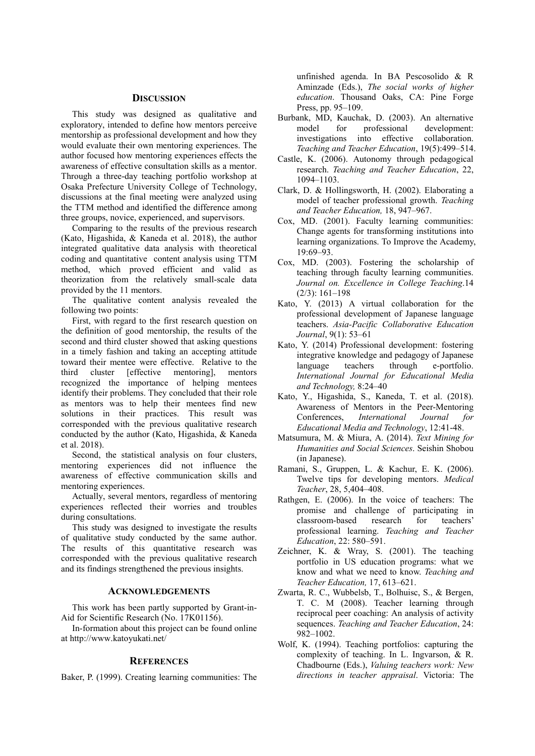#### **DISCUSSION**

This study was designed as qualitative and exploratory, intended to define how mentors perceive mentorship as professional development and how they would evaluate their own mentoring experiences. The author focused how mentoring experiences effects the awareness of effective consultation skills as a mentor. Through a three-day teaching portfolio workshop at Osaka Prefecture University College of Technology, discussions at the final meeting were analyzed using the TTM method and identified the difference among three groups, novice, experienced, and supervisors.

Comparing to the results of the previous research (Kato, Higashida, & Kaneda et al. 2018), the author integrated qualitative data analysis with theoretical coding and quantitative content analysis using TTM method, which proved efficient and valid as theorization from the relatively small-scale data provided by the 11 mentors.

The qualitative content analysis revealed the following two points:

First, with regard to the first research question on the definition of good mentorship, the results of the second and third cluster showed that asking questions in a timely fashion and taking an accepting attitude toward their mentee were effective. Relative to the third cluster [effective mentoring], mentors recognized the importance of helping mentees identify their problems. They concluded that their role as mentors was to help their mentees find new solutions in their practices. This result was corresponded with the previous qualitative research conducted by the author (Kato, Higashida, & Kaneda et al. 2018).

Second, the statistical analysis on four clusters, mentoring experiences did not influence the awareness of effective communication skills and mentoring experiences.

Actually, several mentors, regardless of mentoring experiences reflected their worries and troubles during consultations.

This study was designed to investigate the results of qualitative study conducted by the same author. The results of this quantitative research was corresponded with the previous qualitative research and its findings strengthened the previous insights.

#### **ACKNOWLEDGEMENTS**

This work has been partly supported by Grant-in-Aid for Scientific Research (No. 17K01156).

In-formation about this project can be found online at http://www.katoyukati.net/

#### **REFERENCES**

Baker, P. (1999). Creating learning communities: The

unfinished agenda. In BA Pescosolido & R Aminzade (Eds.), *The social works of higher education*. Thousand Oaks, CA: Pine Forge Press, pp. 95–109.

- Burbank, MD, Kauchak, D. (2003). An alternative model for professional development: investigations into effective collaboration. *Teaching and Teacher Education*, 19(5):499–514.
- Castle, K. (2006). Autonomy through pedagogical research. *Teaching and Teacher Education*, 22, 1094–1103.
- Clark, D. & Hollingsworth, H. (2002). Elaborating a model of teacher professional growth. *Teaching and Teacher Education,* 18, 947–967.
- Cox, MD. (2001). Faculty learning communities: Change agents for transforming institutions into learning organizations. To Improve the Academy, 19:69–93.
- Cox, MD. (2003). Fostering the scholarship of teaching through faculty learning communities. *Journal on. Excellence in College Teaching*.14 (2/3): 161–198
- Kato, Y. (2013) A virtual collaboration for the professional development of Japanese language teachers. *Asia-Pacific Collaborative Education Journal*, 9(1): 53–61
- Kato, Y. (2014) Professional development: fostering integrative knowledge and pedagogy of Japanese language teachers through e-portfolio. *International Journal for Educational Media and Technology,* 8:24–40
- Kato, Y., Higashida, S., Kaneda, T. et al. (2018). Awareness of Mentors in the Peer-Mentoring Conferences, *International Journal for Educational Media and Technology*, 12:41-48.
- Matsumura, M. & Miura, A. (2014). *Text Mining for Humanities and Social Sciences*. Seishin Shobou (in Japanese).
- Ramani, S., Gruppen, L. & Kachur, E. K. (2006). Twelve tips for developing mentors. *Medical Teacher*, 28, 5,404–408.
- Rathgen, E. (2006). In the voice of teachers: The promise and challenge of participating in classroom-based research for teachers' professional learning. *Teaching and Teacher Education*, 22: 580–591.
- Zeichner, K. & Wray, S. (2001). The teaching portfolio in US education programs: what we know and what we need to know. *Teaching and Teacher Education,* 17, 613–621.
- Zwarta, R. C., Wubbelsb, T., Bolhuisc, S., & Bergen, T. C. M (2008). Teacher learning through reciprocal peer coaching: An analysis of activity sequences. *Teaching and Teacher Education*, 24: 982–1002.
- Wolf, K. (1994). Teaching portfolios: capturing the complexity of teaching. In L. Ingvarson, & R. Chadbourne (Eds.), *Valuing teachers work: New directions in teacher appraisal*. Victoria: The